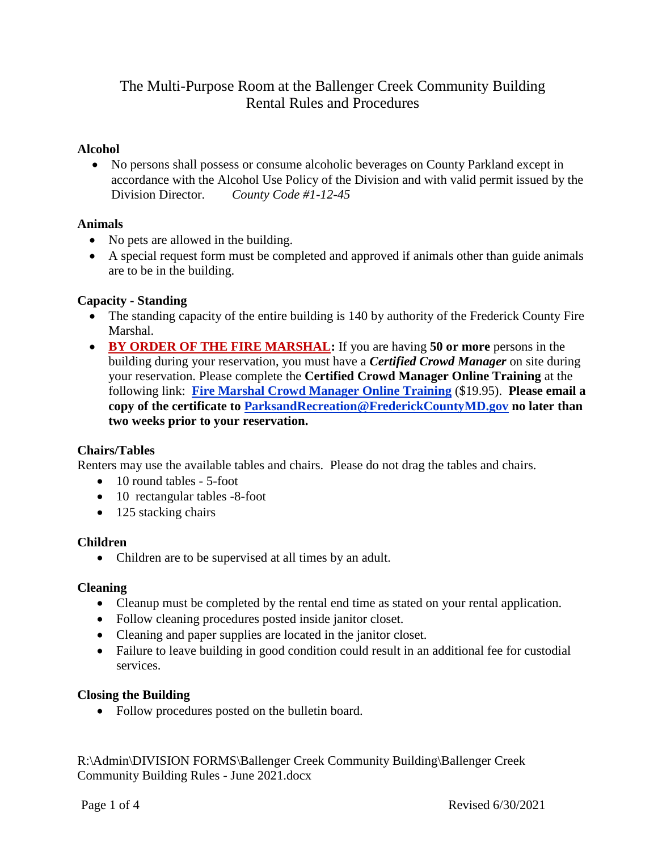# The Multi-Purpose Room at the Ballenger Creek Community Building Rental Rules and Procedures

# **Alcohol**

 No persons shall possess or consume alcoholic beverages on County Parkland except in accordance with the Alcohol Use Policy of the Division and with valid permit issued by the Division Director. *County Code #1-12-45*

# **Animals**

- No pets are allowed in the building.
- A special request form must be completed and approved if animals other than guide animals are to be in the building.

# **Capacity - Standing**

- The standing capacity of the entire building is 140 by authority of the Frederick County Fire Marshal.
- **BY ORDER OF THE FIRE MARSHAL:** If you are having **50 or more** persons in the building during your reservation, you must have a *Certified Crowd Manager* on site during your reservation. Please complete the **Certified Crowd Manager Online Training** at the following link: **[Fire Marshal Crowd Manager Online Training](https://crowdmanagers.com/)** (\$19.95). **Please email a copy of the certificate to [ParksandRecreation@FrederickCountyMD.gov](mailto:ParksandRecreation@FrederickCountyMD.gov) no later than two weeks prior to your reservation.**

# **Chairs/Tables**

Renters may use the available tables and chairs. Please do not drag the tables and chairs.

- 10 round tables 5-foot
- 10 rectangular tables -8-foot
- 125 stacking chairs

# **Children**

• Children are to be supervised at all times by an adult.

# **Cleaning**

- Cleanup must be completed by the rental end time as stated on your rental application.
- Follow cleaning procedures posted inside janitor closet.
- Cleaning and paper supplies are located in the janitor closet.
- Failure to leave building in good condition could result in an additional fee for custodial services.

# **Closing the Building**

• Follow procedures posted on the bulletin board.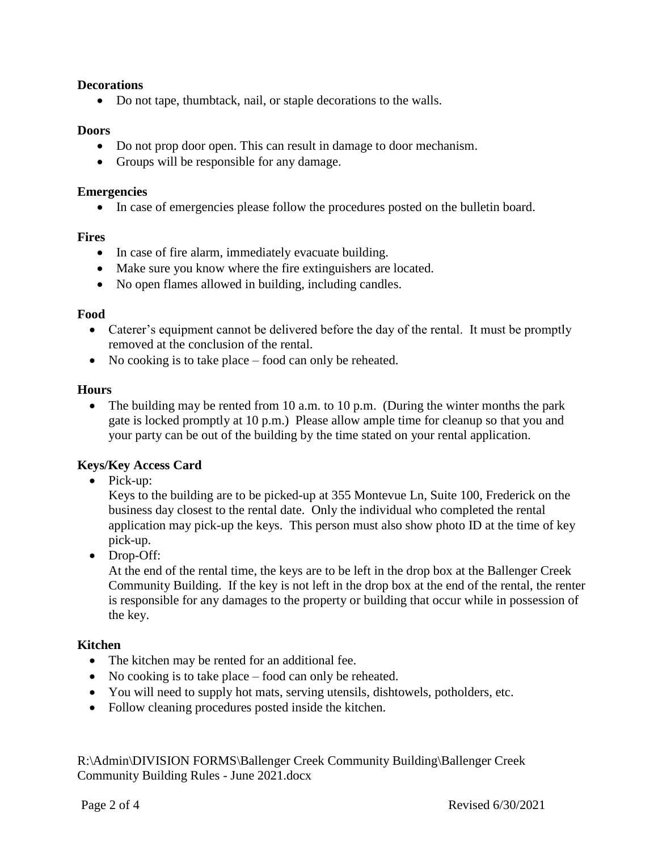#### **Decorations**

Do not tape, thumbtack, nail, or staple decorations to the walls.

#### **Doors**

- Do not prop door open. This can result in damage to door mechanism.
- Groups will be responsible for any damage.

#### **Emergencies**

In case of emergencies please follow the procedures posted on the bulletin board.

#### **Fires**

- In case of fire alarm, immediately evacuate building.
- Make sure you know where the fire extinguishers are located.
- No open flames allowed in building, including candles.

#### **Food**

- Caterer's equipment cannot be delivered before the day of the rental. It must be promptly removed at the conclusion of the rental.
- No cooking is to take place food can only be reheated.

#### **Hours**

• The building may be rented from 10 a.m. to 10 p.m. (During the winter months the park gate is locked promptly at 10 p.m.) Please allow ample time for cleanup so that you and your party can be out of the building by the time stated on your rental application.

#### **Keys/Key Access Card**

• Pick-up:

Keys to the building are to be picked-up at 355 Montevue Ln, Suite 100, Frederick on the business day closest to the rental date. Only the individual who completed the rental application may pick-up the keys. This person must also show photo ID at the time of key pick-up.

• Drop-Off:

At the end of the rental time, the keys are to be left in the drop box at the Ballenger Creek Community Building. If the key is not left in the drop box at the end of the rental, the renter is responsible for any damages to the property or building that occur while in possession of the key.

#### **Kitchen**

- The kitchen may be rented for an additional fee.
- No cooking is to take place food can only be reheated.
- You will need to supply hot mats, serving utensils, dishtowels, potholders, etc.
- Follow cleaning procedures posted inside the kitchen.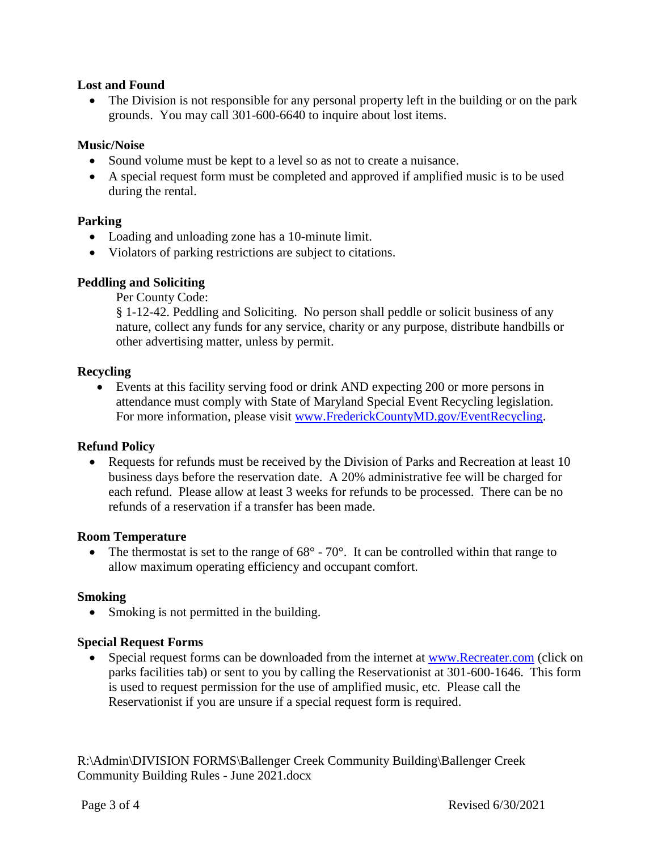### **Lost and Found**

• The Division is not responsible for any personal property left in the building or on the park grounds. You may call 301-600-6640 to inquire about lost items.

### **Music/Noise**

- Sound volume must be kept to a level so as not to create a nuisance.
- A special request form must be completed and approved if amplified music is to be used during the rental.

### **Parking**

- Loading and unloading zone has a 10-minute limit.
- Violators of parking restrictions are subject to citations.

### **Peddling and Soliciting**

Per County Code:

§ 1-12-42. Peddling and Soliciting. No person shall peddle or solicit business of any nature, collect any funds for any service, charity or any purpose, distribute handbills or other advertising matter, unless by permit.

#### **Recycling**

 Events at this facility serving food or drink AND expecting 200 or more persons in attendance must comply with State of Maryland Special Event Recycling legislation. For more information, please visit [www.FrederickCountyMD.gov/EventRecycling.](http://www.frederickcountymd.gov/EventRecycling)

# **Refund Policy**

• Requests for refunds must be received by the Division of Parks and Recreation at least 10 business days before the reservation date. A 20% administrative fee will be charged for each refund. Please allow at least 3 weeks for refunds to be processed. There can be no refunds of a reservation if a transfer has been made.

#### **Room Temperature**

• The thermostat is set to the range of  $68^{\circ}$  -  $70^{\circ}$ . It can be controlled within that range to allow maximum operating efficiency and occupant comfort.

#### **Smoking**

• Smoking is not permitted in the building.

#### **Special Request Forms**

 Special request forms can be downloaded from the internet at [www.Recreater.com](http://www.recreater.com/) (click on parks facilities tab) or sent to you by calling the Reservationist at 301-600-1646. This form is used to request permission for the use of amplified music, etc. Please call the Reservationist if you are unsure if a special request form is required.